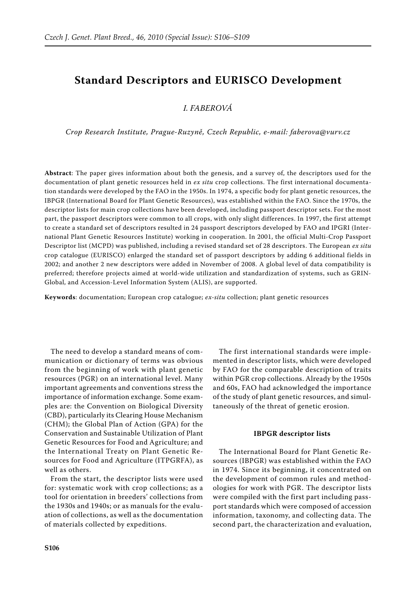# **Standard Descriptors and EURISCO Development**

*I. Faberová* 

*Crop Research Institute, Prague-Ruzyně, Czech Republic, e-mail: faberova@vurv.cz*

**Abstract**: The paper gives information about both the genesis, and a survey of, the descriptors used for the documentation of plant genetic resources held in *ex situ* crop collections. The first international documentation standards were developed by the FAO in the 1950s. In 1974, a specific body for plant genetic resources, the IBPGR (International Board for Plant Genetic Resources), was established within the FAO. Since the 1970s, the descriptor lists for main crop collections have been developed, including passport descriptor sets. For the most part, the passport descriptors were common to all crops, with only slight differences. In 1997, the first attempt to create a standard set of descriptors resulted in 24 passport descriptors developed by FAO and IPGRI (International Plant Genetic Resources Institute) working in cooperation. In 2001, the official Multi-Crop Passport Descriptor list (MCPD) was published, including a revised standard set of 28 descriptors. The European *ex situ* crop catalogue (EURISCO) enlarged the standard set of passport descriptors by adding 6 additional fields in 2002; and another 2 new descriptors were added in November of 2008. A global level of data compatibility is preferred; therefore projects aimed at world-wide utilization and standardization of systems, such as GRIN-Global, and Accession-Level Information System (ALIS), are supported.

**Keywords**: documentation; European crop catalogue; *ex-situ* collection; plant genetic resources

The need to develop a standard means of communication or dictionary of terms was obvious from the beginning of work with plant genetic resources (PGR) on an international level. Many important agreements and conventions stress the importance of information exchange. Some examples are: the Convention on Biological Diversity (CBD), particularly its Clearing House Mechanism (CHM); the Global Plan of Action (GPA) for the Conservation and Sustainable Utilization of Plant Genetic Resources for Food and Agriculture; and the International Treaty on Plant Genetic Resources for Food and Agriculture (ITPGRFA), as well as others.

From the start, the descriptor lists were used for: systematic work with crop collections; as a tool for orientation in breeders' collections from the 1930s and 1940s; or as manuals for the evaluation of collections, as well as the documentation of materials collected by expeditions.

The first international standards were implemented in descriptor lists, which were developed by FAO for the comparable description of traits within PGR crop collections. Already by the 1950s and 60s, FAO had acknowledged the importance of the study of plant genetic resources, and simultaneously of the threat of genetic erosion.

### **IBPGR descriptor lists**

The International Board for Plant Genetic Resources (IBPGR) was established within the FAO in 1974. Since its beginning, it concentrated on the development of common rules and methodologies for work with PGR. The descriptor lists were compiled with the first part including passport standards which were composed of accession information, taxonomy, and collecting data. The second part, the characterization and evaluation,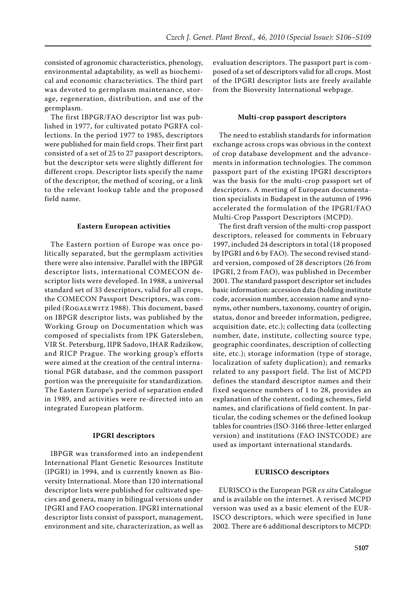consisted of agronomic characteristics, phenology, environmental adaptability, as well as biochemical and economic characteristics. The third part was devoted to germplasm maintenance, storage, regeneration, distribution, and use of the germplasm.

The first IBPGR/FAO descriptor list was published in 1977, for cultivated potato PGRFA collections. In the period 1977 to 1985, descriptors were published for main field crops. Their first part consisted of a set of 25 to 27 passport descriptors, but the descriptor sets were slightly different for different crops. Descriptor lists specify the name of the descriptor, the method of scoring, or a link to the relevant lookup table and the proposed field name.

### **Eastern European activities**

The Eastern portion of Europe was once politically separated, but the germplasm activities there were also intensive. Parallel with the IBPGR descriptor lists, international COMECON descriptor lists were developed. In 1988, a universal standard set of 33 descriptors, valid for all crops, the COMECON Passport Descriptors, was compiled (Rogalewitz 1988). This document, based on IBPGR descriptor lists, was published by the Working Group on Documentation which was composed of specialists from IPK Gatersleben, VIR St. Petersburg, IIPR Sadovo, IHAR Radzikow, and RICP Prague. The working group's efforts were aimed at the creation of the central international PGR database, and the common passport portion was the prerequisite for standardization. The Eastern Europe's period of separation ended in 1989, and activities were re-directed into an integrated European platform.

#### **IPGRI descriptors**

IBPGR was transformed into an independent International Plant Genetic Resources Institute (IPGRI) in 1994, and is currently known as Bioversity International. More than 120 international descriptor lists were published for cultivated species and genera, many in bilingual versions under IPGRI and FAO cooperation. IPGRI international descriptor lists consist of passport, management, environment and site, characterization, as well as

evaluation descriptors. The passport part is composed of a set of descriptors valid for all crops. Most of the IPGRI descriptor lists are freely available from the Bioversity International webpage.

### **Multi-crop passport descriptors**

The need to establish standards for information exchange across crops was obvious in the context of crop database development and the advancements in information technologies. The common passport part of the existing IPGRI descriptors was the basis for the multi-crop passport set of descriptors. A meeting of European documentation specialists in Budapest in the autumn of 1996 accelerated the formulation of the IPGRI/FAO Multi-Crop Passport Descriptors (MCPD).

The first draft version of the multi-crop passport descriptors, released for comments in February 1997, included 24 descriptors in total (18 proposed by IPGRI and 6 by FAO). The second revised standard version, composed of 28 descriptors (26 from IPGRI, 2 from FAO), was published in December 2001. The standard passport descriptor set includes basic information: accession data (holding institute code, accession number, accession name and synonyms, other numbers, taxonomy, country of origin, status, donor and breeder information, pedigree, acquisition date, etc.); collecting data (collecting number, date, institute, collecting source type, geographic coordinates, description of collecting site, etc.); storage information (type of storage, localization of safety duplication); and remarks related to any passport field. The list of MCPD defines the standard descriptor names and their fixed sequence numbers of 1 to 28, provides an explanation of the content, coding schemes, field names, and clarifications of field content. In particular, the coding schemes or the defined lookup tables for countries (ISO-3166 three-letter enlarged version) and institutions (FAO INSTCODE) are used as important international standards.

### **EURISCO descriptors**

EURISCO is the European PGR *ex situ* Catalogue and is available on the internet. A revised MCPD version was used as a basic element of the EUR-ISCO descriptors, which were specified in June 2002. There are 6 additional descriptors to MCPD: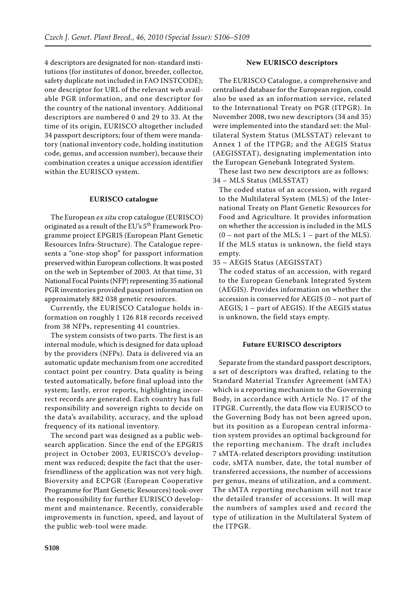4 descriptors are designated for non-standard institutions (for institutes of donor, breeder, collector, safety duplicate not included in FAO INSTCODE); one descriptor for URL of the relevant web available PGR information, and one descriptor for the country of the national inventory. Additional descriptors are numbered 0 and 29 to 33. At the time of its origin, EURISCO altogether included 34 passport descriptors; four of them were mandatory (national inventory code, holding institution code, genus, and accession number), because their combination creates a unique accession identifier within the EURISCO system.

### **EURISCO catalogue**

The European *ex situ* crop catalogue (EURISCO) originated as a result of the EU's 5<sup>th</sup> Framework Programme project EPGRIS (European Plant Genetic Resources Infra-Structure). The Catalogue represents a "one-stop shop" for passport information preserved within European collections. It was posted on the web in September of 2003. At that time, 31 National Focal Points (NFP) representing 35 national PGR inventories provided passport information on approximately 882 038 genetic resources.

Currently, the EURISCO Catalogue holds information on roughly 1 126 818 records received from 38 NFPs, representing 41 countries.

The system consists of two parts. The first is an internal module, which is designed for data upload by the providers (NFPs). Data is delivered via an automatic update mechanism from one accredited contact point per country. Data quality is being tested automatically, before final upload into the system; lastly, error reports, highlighting incorrect records are generated. Each country has full responsibility and sovereign rights to decide on the data's availability, accuracy, and the upload frequency of its national inventory.

The second part was designed as a public websearch application. Since the end of the EPGRIS project in October 2003, EURISCO's development was reduced; despite the fact that the userfriendliness of the application was not very high. Bioversity and ECPGR (European Cooperative Programme for Plant Genetic Resources) took-over the responsibility for further EURISCO development and maintenance. Recently, considerable improvements in function, speed, and layout of the public web-tool were made.

# **New EURISCO descriptors**

The EURISCO Catalogue, a comprehensive and centralised database for the European region, could also be used as an information service, related to the International Treaty on PGR (ITPGR). In November 2008, two new descriptors (34 and 35) were implemented into the standard set: the Multilateral System Status (MLSSTAT) relevant to Annex 1 of the ITPGR; and the AEGIS Status (AEGISSTAT), designating implementation into the European Genebank Integrated System.

These last two new descriptors are as follows: 34 – MLS Status (MLSSTAT)

The coded status of an accession, with regard to the Multilateral System (MLS) of the International Treaty on Plant Genetic Resources for Food and Agriculture. It provides information on whether the accession is included in the MLS  $(0 - not part of the MLS; 1 - part of the MLS).$ If the MLS status is unknown, the field stays empty.

35 – AEGIS Status (AEGISSTAT)

The coded status of an accession, with regard to the European Genebank Integrated System (AEGIS). Provides information on whether the accession is conserved for AEGIS (0 – not part of AEGIS; 1 – part of AEGIS). If the AEGIS status is unknown, the field stays empty.

## **Future EURISCO descriptors**

Separate from the standard passport descriptors, a set of descriptors was drafted, relating to the Standard Material Transfer Agreement (sMTA) which is a reporting mechanism to the Governing Body, in accordance with Article No. 17 of the ITPGR. Currently, the data flow via EURISCO to the Governing Body has not been agreed upon, but its position as a European central information system provides an optimal background for the reporting mechanism. The draft includes 7 sMTA-related descriptors providing: institution code, sMTA number, date, the total number of transferred accessions, the number of accessions per genus, means of utilization, and a comment. The sMTA reporting mechanism will not trace the detailed transfer of accessions. It will map the numbers of samples used and record the type of utilization in the Multilateral System of the ITPGR.